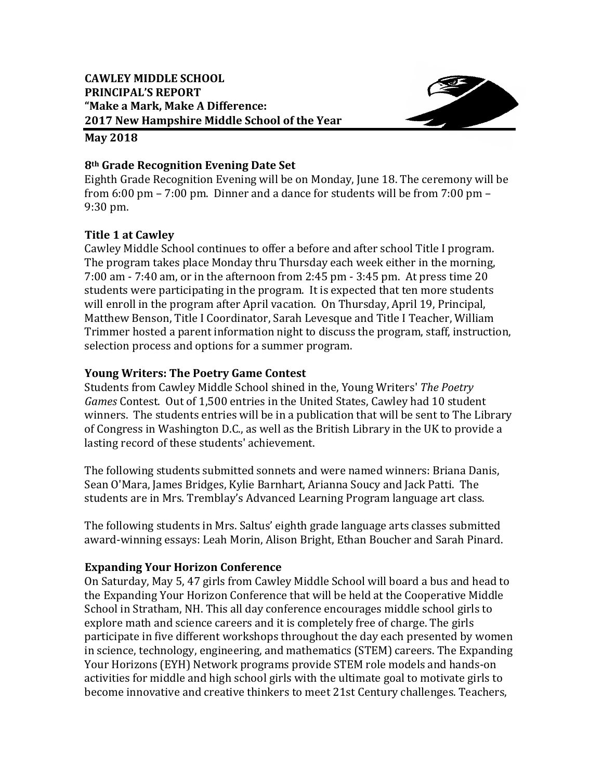

#### **May 2018**

## **8th Grade Recognition Evening Date Set**

Eighth Grade Recognition Evening will be on Monday, June 18. The ceremony will be from  $6:00$  pm –  $7:00$  pm. Dinner and a dance for students will be from  $7:00$  pm – 9:30 pm.

# **Title 1 at Cawley**

Cawley Middle School continues to offer a before and after school Title I program. The program takes place Monday thru Thursday each week either in the morning,  $7:00$  am  $- 7:40$  am, or in the afternoon from  $2:45$  pm  $- 3:45$  pm. At press time  $20$ students were participating in the program. It is expected that ten more students will enroll in the program after April vacation. On Thursday, April 19, Principal, Matthew Benson, Title I Coordinator, Sarah Levesque and Title I Teacher, William Trimmer hosted a parent information night to discuss the program, staff, instruction, selection process and options for a summer program.

# **Young Writers: The Poetry Game Contest**

Students from Cawley Middle School shined in the, Young Writers' *The Poetry Games* Contest. Out of 1,500 entries in the United States, Cawley had 10 student winners. The students entries will be in a publication that will be sent to The Library of Congress in Washington D.C., as well as the British Library in the UK to provide a lasting record of these students' achievement.

The following students submitted sonnets and were named winners: Briana Danis, Sean O'Mara, James Bridges, Kylie Barnhart, Arianna Soucy and Jack Patti. The students are in Mrs. Tremblay's Advanced Learning Program language art class.

The following students in Mrs. Saltus' eighth grade language arts classes submitted award-winning essays: Leah Morin, Alison Bright, Ethan Boucher and Sarah Pinard.

# **Expanding Your Horizon Conference**

On Saturday, May 5, 47 girls from Cawley Middle School will board a bus and head to the Expanding Your Horizon Conference that will be held at the Cooperative Middle School in Stratham, NH. This all day conference encourages middle school girls to explore math and science careers and it is completely free of charge. The girls participate in five different workshops throughout the day each presented by women in science, technology, engineering, and mathematics (STEM) careers. The Expanding Your Horizons (EYH) Network programs provide STEM role models and hands-on activities for middle and high school girls with the ultimate goal to motivate girls to become innovative and creative thinkers to meet 21st Century challenges. Teachers,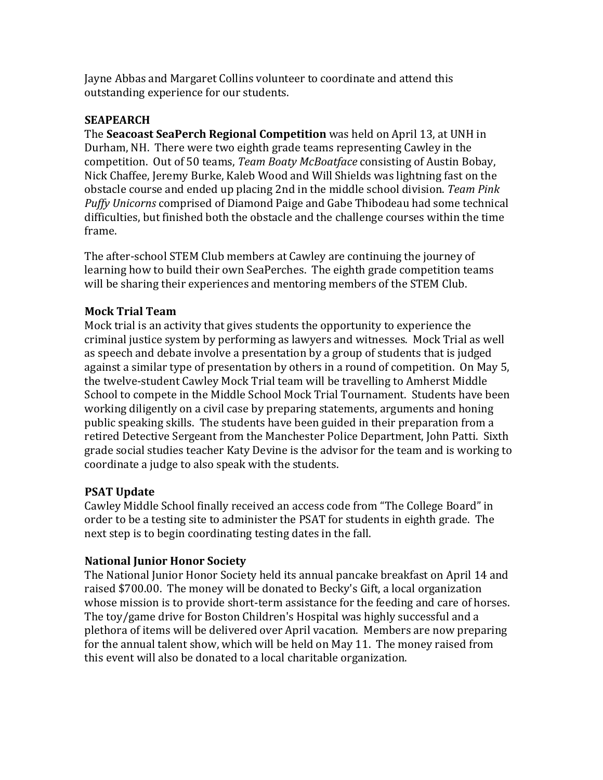Jayne Abbas and Margaret Collins volunteer to coordinate and attend this outstanding experience for our students.

## **SEAPEARCH**

**The Seacoast SeaPerch Regional Competition** was held on April 13, at UNH in Durham, NH. There were two eighth grade teams representing Cawley in the competition. Out of 50 teams, *Team Boaty McBoatface* consisting of Austin Bobay, Nick Chaffee, Jeremy Burke, Kaleb Wood and Will Shields was lightning fast on the obstacle course and ended up placing 2nd in the middle school division. Team Pink *Puffy Unicorns* comprised of Diamond Paige and Gabe Thibodeau had some technical difficulties, but finished both the obstacle and the challenge courses within the time frame. 

The after-school STEM Club members at Cawley are continuing the journey of learning how to build their own SeaPerches. The eighth grade competition teams will be sharing their experiences and mentoring members of the STEM Club.

# **Mock Trial Team**

Mock trial is an activity that gives students the opportunity to experience the criminal justice system by performing as lawyers and witnesses. Mock Trial as well as speech and debate involve a presentation by a group of students that is judged against a similar type of presentation by others in a round of competition. On May 5, the twelve-student Cawley Mock Trial team will be travelling to Amherst Middle School to compete in the Middle School Mock Trial Tournament. Students have been working diligently on a civil case by preparing statements, arguments and honing public speaking skills. The students have been guided in their preparation from a retired Detective Sergeant from the Manchester Police Department, John Patti. Sixth grade social studies teacher Katy Devine is the advisor for the team and is working to coordinate a judge to also speak with the students.

# **PSAT Update**

Cawley Middle School finally received an access code from "The College Board" in order to be a testing site to administer the PSAT for students in eighth grade. The next step is to begin coordinating testing dates in the fall.

# **National Junior Honor Society**

The National Junior Honor Society held its annual pancake breakfast on April 14 and raised \$700.00. The money will be donated to Becky's Gift, a local organization whose mission is to provide short-term assistance for the feeding and care of horses. The toy/game drive for Boston Children's Hospital was highly successful and a plethora of items will be delivered over April vacation. Members are now preparing for the annual talent show, which will be held on May 11. The money raised from this event will also be donated to a local charitable organization.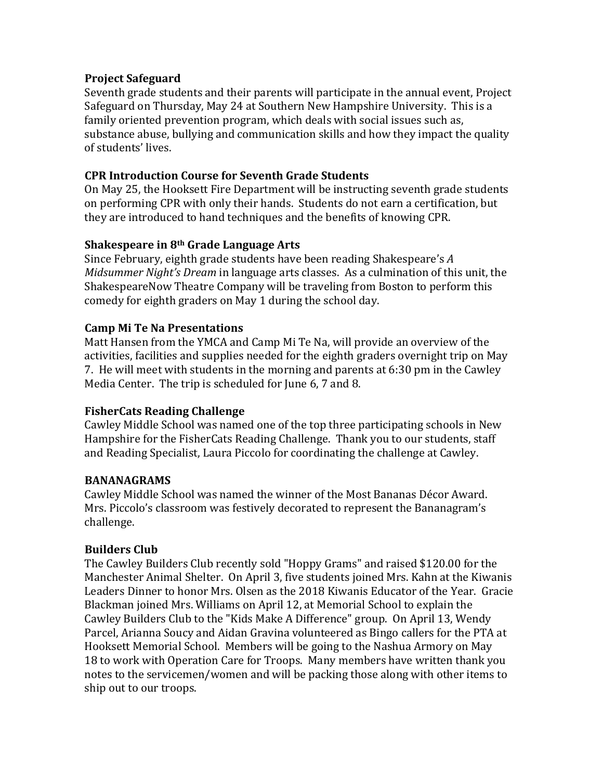#### **Project Safeguard**

Seventh grade students and their parents will participate in the annual event, Project Safeguard on Thursday, May 24 at Southern New Hampshire University. This is a family oriented prevention program, which deals with social issues such as, substance abuse, bullying and communication skills and how they impact the quality of students' lives.

#### **CPR Introduction Course for Seventh Grade Students**

On May 25, the Hooksett Fire Department will be instructing seventh grade students on performing CPR with only their hands. Students do not earn a certification, but they are introduced to hand techniques and the benefits of knowing CPR.

#### **Shakespeare in 8th Grade Language Arts**

Since February, eighth grade students have been reading Shakespeare's A *Midsummer Night's Dream* in language arts classes. As a culmination of this unit, the ShakespeareNow Theatre Company will be traveling from Boston to perform this comedy for eighth graders on May 1 during the school day.

## **Camp Mi Te Na Presentations**

Matt Hansen from the YMCA and Camp Mi Te Na, will provide an overview of the activities, facilities and supplies needed for the eighth graders overnight trip on May 7. He will meet with students in the morning and parents at  $6:30$  pm in the Cawley Media Center. The trip is scheduled for June 6, 7 and 8.

## **FisherCats Reading Challenge**

Cawley Middle School was named one of the top three participating schools in New Hampshire for the FisherCats Reading Challenge. Thank you to our students, staff and Reading Specialist, Laura Piccolo for coordinating the challenge at Cawley.

## **BANANAGRAMS**

Cawley Middle School was named the winner of the Most Bananas Décor Award. Mrs. Piccolo's classroom was festively decorated to represent the Bananagram's challenge. 

## **Builders Club**

The Cawley Builders Club recently sold "Hoppy Grams" and raised \$120.00 for the Manchester Animal Shelter. On April 3, five students joined Mrs. Kahn at the Kiwanis Leaders Dinner to honor Mrs. Olsen as the 2018 Kiwanis Educator of the Year. Gracie Blackman joined Mrs. Williams on April 12, at Memorial School to explain the Cawley Builders Club to the "Kids Make A Difference" group. On April 13, Wendy Parcel, Arianna Soucy and Aidan Gravina volunteered as Bingo callers for the PTA at Hooksett Memorial School. Members will be going to the Nashua Armory on May 18 to work with Operation Care for Troops. Many members have written thank you notes to the servicemen/women and will be packing those along with other items to ship out to our troops.